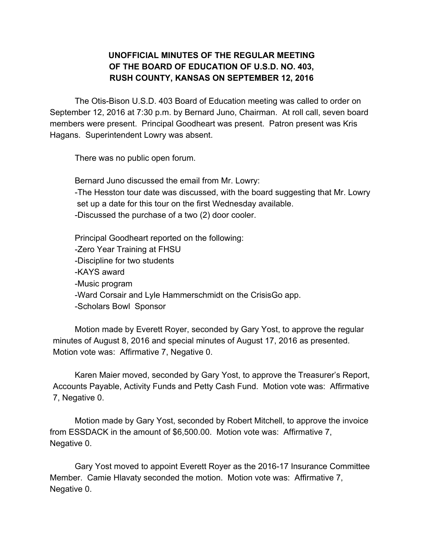## **UNOFFICIAL MINUTES OF THE REGULAR MEETING OF THE BOARD OF EDUCATION OF U.S.D. NO. 403, RUSH COUNTY, KANSAS ON SEPTEMBER 12, 2016**

The Otis-Bison U.S.D. 403 Board of Education meeting was called to order on September 12, 2016 at 7:30 p.m. by Bernard Juno, Chairman. At roll call, seven board members were present. Principal Goodheart was present. Patron present was Kris Hagans. Superintendent Lowry was absent.

There was no public open forum.

Bernard Juno discussed the email from Mr. Lowry:

-The Hesston tour date was discussed, with the board suggesting that Mr. Lowry set up a date for this tour on the first Wednesday available.

-Discussed the purchase of a two (2) door cooler.

Principal Goodheart reported on the following: -Zero Year Training at FHSU -Discipline for two students -KAYS award -Music program -Ward Corsair and Lyle Hammerschmidt on the CrisisGo app. -Scholars Bowl Sponsor

Motion made by Everett Royer, seconded by Gary Yost, to approve the regular minutes of August 8, 2016 and special minutes of August 17, 2016 as presented. Motion vote was: Affirmative 7, Negative 0.

Karen Maier moved, seconded by Gary Yost, to approve the Treasurer's Report, Accounts Payable, Activity Funds and Petty Cash Fund. Motion vote was: Affirmative 7, Negative 0.

Motion made by Gary Yost, seconded by Robert Mitchell, to approve the invoice from ESSDACK in the amount of \$6,500.00. Motion vote was: Affirmative 7, Negative 0.

Gary Yost moved to appoint Everett Royer as the 2016-17 Insurance Committee Member. Camie Hlavaty seconded the motion. Motion vote was: Affirmative 7, Negative 0.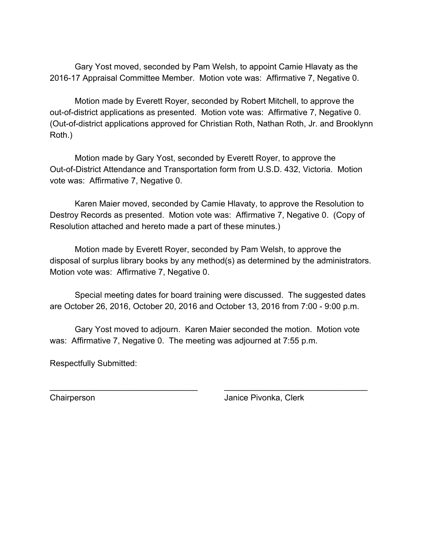Gary Yost moved, seconded by Pam Welsh, to appoint Camie Hlavaty as the 2016-17 Appraisal Committee Member. Motion vote was: Affirmative 7, Negative 0.

Motion made by Everett Royer, seconded by Robert Mitchell, to approve the out-of-district applications as presented. Motion vote was: Affirmative 7, Negative 0. (Out-of-district applications approved for Christian Roth, Nathan Roth, Jr. and Brooklynn Roth.)

Motion made by Gary Yost, seconded by Everett Royer, to approve the Out-of-District Attendance and Transportation form from U.S.D. 432, Victoria. Motion vote was: Affirmative 7, Negative 0.

Karen Maier moved, seconded by Camie Hlavaty, to approve the Resolution to Destroy Records as presented. Motion vote was: Affirmative 7, Negative 0. (Copy of Resolution attached and hereto made a part of these minutes.)

Motion made by Everett Royer, seconded by Pam Welsh, to approve the disposal of surplus library books by any method(s) as determined by the administrators. Motion vote was: Affirmative 7, Negative 0.

Special meeting dates for board training were discussed. The suggested dates are October 26, 2016, October 20, 2016 and October 13, 2016 from 7:00 - 9:00 p.m.

Gary Yost moved to adjourn. Karen Maier seconded the motion. Motion vote was: Affirmative 7, Negative 0. The meeting was adjourned at 7:55 p.m.

\_\_\_\_\_\_\_\_\_\_\_\_\_\_\_\_\_\_\_\_\_\_\_\_\_\_\_\_\_\_\_\_ \_\_\_\_\_\_\_\_\_\_\_\_\_\_\_\_\_\_\_\_\_\_\_\_\_\_\_\_\_\_\_

Respectfully Submitted:

Chairperson Janice Pivonka, Clerk